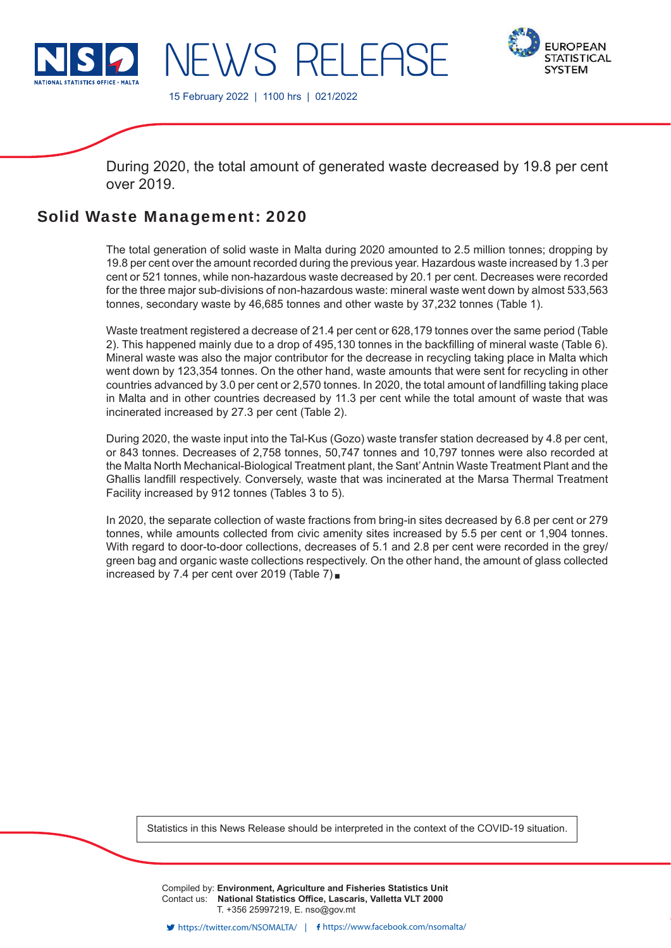

**FUROPEAN STATISTICAL SYSTEM** 

15 February 2022 | 1100 hrs | 021/2022

JEWS RELEAS

During 2020, the total amount of generated waste decreased by 19.8 per cent over 2019.

# Solid Waste Management: 2020

The total generation of solid waste in Malta during 2020 amounted to 2.5 million tonnes; dropping by 19.8 per cent over the amount recorded during the previous year. Hazardous waste increased by 1.3 per cent or 521 tonnes, while non-hazardous waste decreased by 20.1 per cent. Decreases were recorded for the three major sub-divisions of non-hazardous waste: mineral waste went down by almost 533,563 tonnes, secondary waste by 46,685 tonnes and other waste by 37,232 tonnes (Table 1).

Waste treatment registered a decrease of 21.4 per cent or 628,179 tonnes over the same period (Table 2). This happened mainly due to a drop of 495,130 tonnes in the backfilling of mineral waste (Table 6). Mineral waste was also the major contributor for the decrease in recycling taking place in Malta which went down by 123,354 tonnes. On the other hand, waste amounts that were sent for recycling in other countries advanced by 3.0 per cent or 2,570 tonnes. In 2020, the total amount of landfilling taking place in Malta and in other countries decreased by 11.3 per cent while the total amount of waste that was incinerated increased by 27.3 per cent (Table 2).

During 2020, the waste input into the Tal-Kus (Gozo) waste transfer station decreased by 4.8 per cent, or 843 tonnes. Decreases of 2,758 tonnes, 50,747 tonnes and 10,797 tonnes were also recorded at the Malta North Mechanical-Biological Treatment plant, the Sant' Antnin Waste Treatment Plant and the Għallis landfill respectively. Conversely, waste that was incinerated at the Marsa Thermal Treatment Facility increased by 912 tonnes (Tables 3 to 5).

In 2020, the separate collection of waste fractions from bring-in sites decreased by 6.8 per cent or 279 tonnes, while amounts collected from civic amenity sites increased by 5.5 per cent or 1,904 tonnes. With regard to door-to-door collections, decreases of 5.1 and 2.8 per cent were recorded in the grey/ green bag and organic waste collections respectively. On the other hand, the amount of glass collected increased by 7.4 per cent over 2019 (Table 7)

Statistics in this News Release should be interpreted in the context of the COVID-19 situation.

Compiled by: **Environment, Agriculture and Fisheries Statistics Unit** Contact us: National Statistics Office, Lascaris, Valletta VLT 2000 T. +356 25997219, E. nso@gov.mt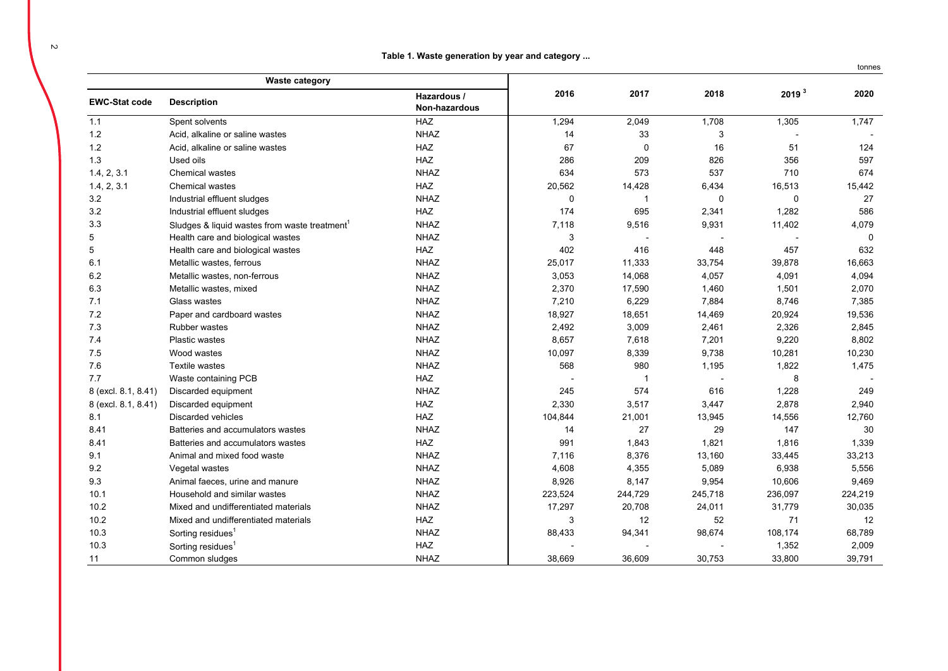**Table 1. Waste generation by year and category ...**

|                      | <b>Waste category</b>                        |                              |         |             |         |                   |         |
|----------------------|----------------------------------------------|------------------------------|---------|-------------|---------|-------------------|---------|
| <b>EWC-Stat code</b> | <b>Description</b>                           | Hazardous /<br>Non-hazardous | 2016    | 2017        | 2018    | 2019 <sup>3</sup> | 2020    |
| 1.1                  | Spent solvents                               | <b>HAZ</b>                   | 1,294   | 2,049       | 1,708   | 1,305             | 1,747   |
| $1.2$                | Acid, alkaline or saline wastes              | <b>NHAZ</b>                  | 14      | 33          | 3       |                   |         |
| 1.2                  | Acid, alkaline or saline wastes              | <b>HAZ</b>                   | 67      | $\mathbf 0$ | 16      | 51                | 124     |
| 1.3                  | Used oils                                    | <b>HAZ</b>                   | 286     | 209         | 826     | 356               | 597     |
| 1.4, 2, 3.1          | <b>Chemical wastes</b>                       | <b>NHAZ</b>                  | 634     | 573         | 537     | 710               | 674     |
| 1.4, 2, 3.1          | <b>Chemical wastes</b>                       | HAZ                          | 20,562  | 14,428      | 6,434   | 16,513            | 15,442  |
| 3.2                  | Industrial effluent sludges                  | <b>NHAZ</b>                  | 0       | -1          | 0       | $\mathbf 0$       | 27      |
| 3.2                  | Industrial effluent sludges                  | <b>HAZ</b>                   | 174     | 695         | 2,341   | 1,282             | 586     |
| 3.3                  | Sludges & liquid wastes from waste treatment | <b>NHAZ</b>                  | 7,118   | 9,516       | 9,931   | 11,402            | 4,079   |
| 5                    | Health care and biological wastes            | NHAZ                         | 3       |             |         |                   | 0       |
| 5                    | Health care and biological wastes            | HAZ                          | 402     | 416         | 448     | 457               | 632     |
| 6.1                  | Metallic wastes, ferrous                     | <b>NHAZ</b>                  | 25,017  | 11,333      | 33,754  | 39,878            | 16,663  |
| 6.2                  | Metallic wastes, non-ferrous                 | <b>NHAZ</b>                  | 3,053   | 14,068      | 4,057   | 4,091             | 4,094   |
| 6.3                  | Metallic wastes, mixed                       | <b>NHAZ</b>                  | 2,370   | 17,590      | 1,460   | 1,501             | 2,070   |
| 7.1                  | Glass wastes                                 | <b>NHAZ</b>                  | 7,210   | 6,229       | 7,884   | 8,746             | 7,385   |
| 7.2                  | Paper and cardboard wastes                   | <b>NHAZ</b>                  | 18,927  | 18,651      | 14,469  | 20,924            | 19,536  |
| 7.3                  | <b>Rubber wastes</b>                         | <b>NHAZ</b>                  | 2,492   | 3,009       | 2,461   | 2,326             | 2,845   |
| 7.4                  | <b>Plastic wastes</b>                        | <b>NHAZ</b>                  | 8,657   | 7,618       | 7,201   | 9,220             | 8,802   |
| 7.5                  | Wood wastes                                  | <b>NHAZ</b>                  | 10,097  | 8,339       | 9,738   | 10,281            | 10,230  |
| 7.6                  | <b>Textile wastes</b>                        | <b>NHAZ</b>                  | 568     | 980         | 1,195   | 1,822             | 1,475   |
| 7.7                  | Waste containing PCB                         | <b>HAZ</b>                   |         | -1          |         | 8                 |         |
| 8 (excl. 8.1, 8.41)  | Discarded equipment                          | <b>NHAZ</b>                  | 245     | 574         | 616     | 1,228             | 249     |
| 8 (excl. 8.1, 8.41)  | Discarded equipment                          | HAZ                          | 2,330   | 3,517       | 3,447   | 2,878             | 2,940   |
| 8.1                  | <b>Discarded vehicles</b>                    | HAZ                          | 104,844 | 21,001      | 13,945  | 14,556            | 12,760  |
| 8.41                 | Batteries and accumulators wastes            | <b>NHAZ</b>                  | 14      | 27          | 29      | 147               | 30      |
| 8.41                 | Batteries and accumulators wastes            | <b>HAZ</b>                   | 991     | 1,843       | 1,821   | 1,816             | 1,339   |
| 9.1                  | Animal and mixed food waste                  | <b>NHAZ</b>                  | 7,116   | 8,376       | 13,160  | 33,445            | 33,213  |
| 9.2                  | Vegetal wastes                               | <b>NHAZ</b>                  | 4,608   | 4,355       | 5,089   | 6,938             | 5,556   |
| 9.3                  | Animal faeces, urine and manure              | <b>NHAZ</b>                  | 8,926   | 8,147       | 9,954   | 10,606            | 9,469   |
| 10.1                 | Household and similar wastes                 | <b>NHAZ</b>                  | 223,524 | 244,729     | 245,718 | 236,097           | 224,219 |
| 10.2                 | Mixed and undifferentiated materials         | <b>NHAZ</b>                  | 17,297  | 20,708      | 24,011  | 31,779            | 30,035  |
| 10.2                 | Mixed and undifferentiated materials         | HAZ                          | 3       | 12          | 52      | 71                | 12      |
| 10.3                 | Sorting residues <sup>1</sup>                | <b>NHAZ</b>                  | 88,433  | 94,341      | 98,674  | 108,174           | 68,789  |
| 10.3                 | Sorting residues <sup>1</sup>                | HAZ                          |         |             |         | 1,352             | 2,009   |
| 11                   | Common sludges                               | <b>NHAZ</b>                  | 38,669  | 36,609      | 30,753  | 33,800            | 39,791  |

tonnes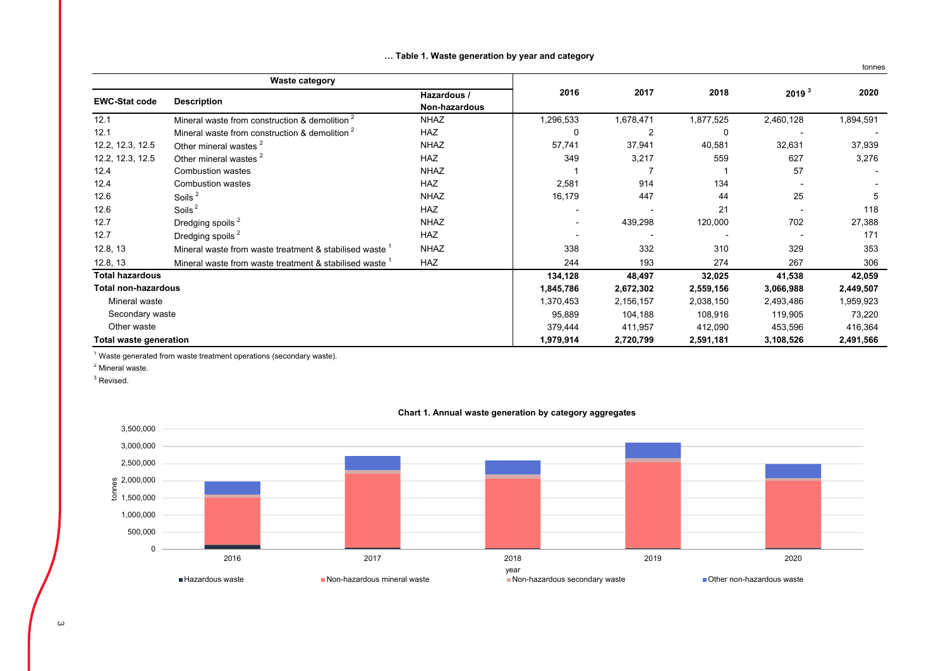|                               |                                                           |                              |           |                |           |                   | tonnes    |
|-------------------------------|-----------------------------------------------------------|------------------------------|-----------|----------------|-----------|-------------------|-----------|
|                               | <b>Waste category</b>                                     |                              |           |                |           |                   |           |
| <b>EWC-Stat code</b>          | <b>Description</b>                                        | Hazardous /<br>Non-hazardous | 2016      | 2017           | 2018      | 2019 <sup>3</sup> | 2020      |
| 12.1                          | Mineral waste from construction & demolition              | <b>NHAZ</b>                  | 1,296,533 | 1,678,471      | 1,877,525 | 2,460,128         | 1,894,591 |
| 12.1                          | Mineral waste from construction & demolition <sup>2</sup> | <b>HAZ</b>                   | 0         | $\overline{2}$ | 0         |                   |           |
| 12.2, 12.3, 12.5              | Other mineral wastes <sup>2</sup>                         | <b>NHAZ</b>                  | 57,741    | 37,941         | 40,581    | 32,631            | 37,939    |
| 12.2, 12.3, 12.5              | Other mineral wastes <sup>2</sup>                         | <b>HAZ</b>                   | 349       | 3,217          | 559       | 627               | 3,276     |
| 12.4                          | <b>Combustion wastes</b>                                  | <b>NHAZ</b>                  |           |                |           | 57                |           |
| 12.4                          | Combustion wastes                                         | <b>HAZ</b>                   | 2,581     | 914            | 134       |                   |           |
| 12.6                          | Soils <sup>2</sup>                                        | <b>NHAZ</b>                  | 16,179    | 447            | 44        | 25                | 5         |
| 12.6                          | Soils <sup>2</sup>                                        | <b>HAZ</b>                   |           |                | 21        |                   | 118       |
| 12.7                          | Dredging spoils <sup>2</sup>                              | <b>NHAZ</b>                  |           | 439,298        | 120,000   | 702               | 27,388    |
| 12.7                          | Dredging spoils <sup>2</sup>                              | <b>HAZ</b>                   |           |                |           |                   | 171       |
| 12.8, 13                      | Mineral waste from waste treatment & stabilised waste     | <b>NHAZ</b>                  | 338       | 332            | 310       | 329               | 353       |
| 12.8, 13                      | Mineral waste from waste treatment & stabilised waste     | <b>HAZ</b>                   | 244       | 193            | 274       | 267               | 306       |
| <b>Total hazardous</b>        |                                                           |                              | 134,128   | 48,497         | 32,025    | 41,538            | 42,059    |
| <b>Total non-hazardous</b>    |                                                           |                              | 1,845,786 | 2,672,302      | 2,559,156 | 3,066,988         | 2,449,507 |
| Mineral waste                 |                                                           |                              | 1,370,453 | 2,156,157      | 2,038,150 | 2,493,486         | 1,959,923 |
| Secondary waste               |                                                           |                              | 95,889    | 104,188        | 108,916   | 119,905           | 73,220    |
| Other waste                   |                                                           |                              | 379,444   | 411,957        | 412,090   | 453,596           | 416,364   |
| <b>Total waste generation</b> |                                                           |                              | 1,979,914 | 2,720,799      | 2,591,181 | 3,108,526         | 2,491,566 |

#### **… Table 1. Waste generation by year and category**

 $1$  Waste generated from waste treatment operations (secondary waste).

<sup>2</sup> Mineral waste.

 $3$  Revised.



## **Chart 1. Annual waste generation by category aggregates**

 $\omega$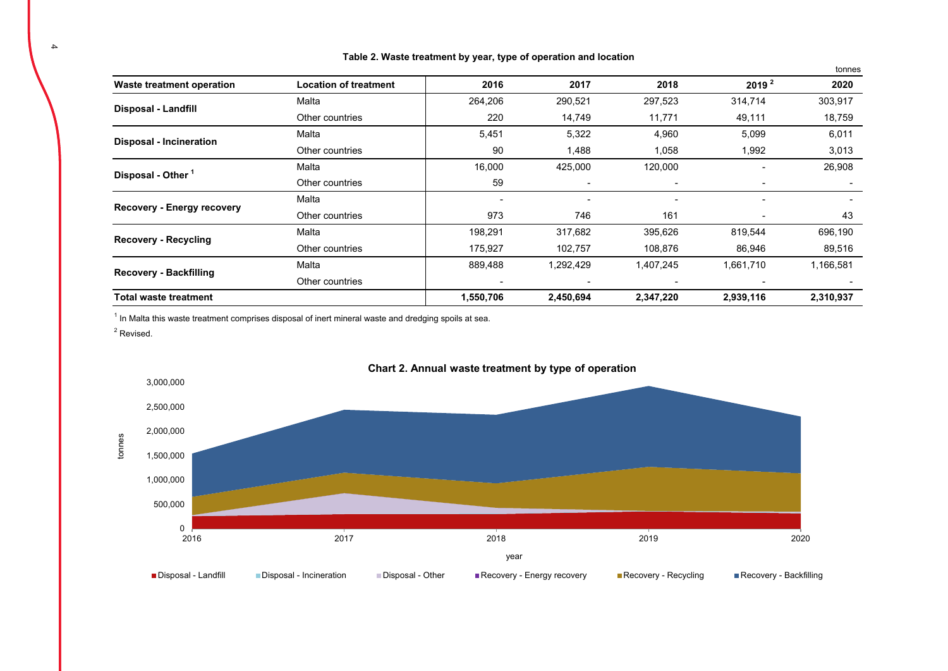|                                   |                              |           |           |                          |                   | tonnes    |
|-----------------------------------|------------------------------|-----------|-----------|--------------------------|-------------------|-----------|
| Waste treatment operation         | <b>Location of treatment</b> | 2016      | 2017      | 2018                     | 2019 <sup>2</sup> | 2020      |
| <b>Disposal - Landfill</b>        | Malta                        | 264,206   | 290,521   | 297,523                  | 314,714           | 303,917   |
|                                   | Other countries              | 220       | 14,749    | 11,771                   | 49,111            | 18,759    |
|                                   | Malta                        | 5,451     | 5,322     | 4,960                    | 5,099             | 6,011     |
| <b>Disposal - Incineration</b>    | Other countries              | 90        | 1,488     | 1,058                    | 1,992             | 3,013     |
|                                   | Malta                        | 16,000    | 425,000   | 120,000                  |                   | 26,908    |
| Disposal - Other <sup>1</sup>     | Other countries              | 59        | ٠         | $\overline{\phantom{a}}$ |                   |           |
|                                   | Malta                        |           |           |                          |                   |           |
| <b>Recovery - Energy recovery</b> | Other countries              | 973       | 746       | 161                      |                   | 43        |
|                                   | Malta                        | 198,291   | 317,682   | 395,626                  | 819,544           | 696,190   |
| <b>Recovery - Recycling</b>       | Other countries              | 175,927   | 102,757   | 108,876                  | 86,946            | 89,516    |
|                                   | Malta                        | 889,488   | 1,292,429 | 1,407,245                | 1,661,710         | 1,166,581 |
| <b>Recovery - Backfilling</b>     | Other countries              |           |           |                          |                   |           |
| <b>Total waste treatment</b>      |                              | 1,550,706 | 2,450,694 | 2,347,220                | 2,939,116         | 2,310,937 |

### **Table 2. Waste treatment by year, type of operation and location**

 $1$  In Malta this waste treatment comprises disposal of inert mineral waste and dredging spoils at sea.

 $2$  Revised.



## **Chart 2. Annual waste treatment by type of operation**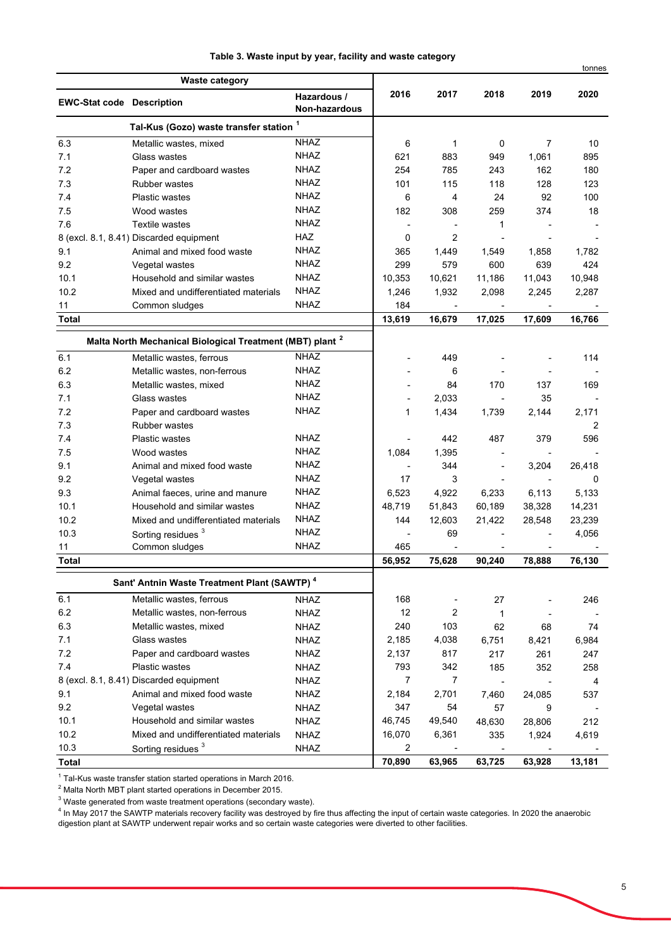|  |  |  |  |  |  |  | Table 3. Waste input by year, facility and waste category |  |  |  |  |  |
|--|--|--|--|--|--|--|-----------------------------------------------------------|--|--|--|--|--|
|--|--|--|--|--|--|--|-----------------------------------------------------------|--|--|--|--|--|

|                                  |                                                                      |                              |                |                |                          |                          | tonnes      |
|----------------------------------|----------------------------------------------------------------------|------------------------------|----------------|----------------|--------------------------|--------------------------|-------------|
|                                  | <b>Waste category</b>                                                |                              |                |                |                          |                          |             |
| <b>EWC-Stat code Description</b> |                                                                      | Hazardous /<br>Non-hazardous | 2016           | 2017           | 2018                     | 2019                     | 2020        |
|                                  | Tal-Kus (Gozo) waste transfer station 1                              |                              |                |                |                          |                          |             |
| 6.3                              | Metallic wastes, mixed                                               | <b>NHAZ</b>                  | 6              | 1              | 0                        | $\overline{7}$           | 10          |
| 7.1                              | Glass wastes                                                         | NHAZ                         | 621            | 883            | 949                      | 1,061                    | 895         |
| 7.2                              | Paper and cardboard wastes                                           | NHAZ                         | 254            | 785            | 243                      | 162                      | 180         |
| 7.3                              | <b>Rubber wastes</b>                                                 | NHAZ                         | 101            | 115            | 118                      | 128                      | 123         |
| 7.4                              | <b>Plastic wastes</b>                                                | NHAZ                         | 6              | 4              | 24                       | 92                       | 100         |
| 7.5                              | Wood wastes                                                          | NHAZ                         | 182            | 308            | 259                      | 374                      | 18          |
| 7.6                              | <b>Textile wastes</b>                                                | NHAZ                         |                |                | 1                        |                          |             |
|                                  | 8 (excl. 8.1, 8.41) Discarded equipment                              | <b>HAZ</b>                   | 0              | 2              |                          |                          |             |
| 9.1                              | Animal and mixed food waste                                          | <b>NHAZ</b>                  | 365            | 1,449          | 1,549                    | 1,858                    | 1,782       |
| 9.2                              | Vegetal wastes                                                       | <b>NHAZ</b>                  | 299            | 579            | 600                      | 639                      | 424         |
| 10.1                             | Household and similar wastes                                         | NHAZ                         | 10,353         | 10,621         | 11,186                   | 11,043                   | 10,948      |
| 10.2                             | Mixed and undifferentiated materials                                 | NHAZ                         | 1,246          | 1,932          | 2,098                    | 2,245                    | 2,287       |
| 11                               | Common sludges                                                       | <b>NHAZ</b>                  | 184            |                |                          |                          |             |
| <b>Total</b>                     |                                                                      |                              | 13,619         | 16,679         | 17,025                   | 17,609                   | 16,766      |
|                                  | Malta North Mechanical Biological Treatment (MBT) plant <sup>2</sup> |                              |                |                |                          |                          |             |
| 6.1                              | Metallic wastes, ferrous                                             | <b>NHAZ</b>                  |                | 449            |                          |                          | 114         |
| 6.2                              | Metallic wastes, non-ferrous                                         | <b>NHAZ</b>                  |                | 6              |                          |                          |             |
| 6.3                              | Metallic wastes, mixed                                               | NHAZ                         |                | 84             | 170                      | 137                      | 169         |
| 7.1                              | Glass wastes                                                         | <b>NHAZ</b>                  |                | 2,033          |                          | 35                       |             |
| 7.2                              | Paper and cardboard wastes                                           | NHAZ                         | 1              | 1,434          | 1,739                    | 2,144                    | 2,171       |
| 7.3                              | <b>Rubber wastes</b>                                                 |                              |                |                |                          |                          | 2           |
| 7.4                              | <b>Plastic wastes</b>                                                | <b>NHAZ</b>                  |                | 442            | 487                      | 379                      | 596         |
| 7.5                              | Wood wastes                                                          | <b>NHAZ</b>                  | 1,084          | 1,395          |                          |                          |             |
| 9.1                              | Animal and mixed food waste                                          | <b>NHAZ</b>                  |                | 344            | $\overline{\phantom{a}}$ | 3,204                    | 26,418      |
| 9.2                              | Vegetal wastes                                                       | <b>NHAZ</b>                  | 17             | 3              |                          |                          | $\mathbf 0$ |
| 9.3                              | Animal faeces, urine and manure                                      | <b>NHAZ</b>                  | 6,523          | 4,922          | 6,233                    | 6,113                    | 5,133       |
| 10.1                             | Household and similar wastes                                         | <b>NHAZ</b>                  | 48,719         | 51,843         | 60,189                   | 38,328                   | 14,231      |
| 10.2                             | Mixed and undifferentiated materials                                 | <b>NHAZ</b>                  | 144            | 12,603         | 21,422                   | 28,548                   | 23,239      |
| 10.3                             | Sorting residues <sup>3</sup>                                        | <b>NHAZ</b>                  |                | 69             |                          |                          | 4,056       |
| 11                               | Common sludges                                                       | <b>NHAZ</b>                  | 465            |                |                          |                          |             |
| <b>Total</b>                     |                                                                      |                              | 56,952         | 75,628         | 90,240                   | 78,888                   | 76,130      |
|                                  |                                                                      |                              |                |                |                          |                          |             |
|                                  | Sant' Antnin Waste Treatment Plant (SAWTP) <sup>4</sup>              |                              |                |                |                          |                          |             |
| 6.1                              | Metallic wastes, ferrous                                             | NHAZ                         | 168            |                | 27                       |                          | 246         |
| 6.2                              | Metallic wastes, non-ferrous                                         | <b>NHAZ</b>                  | 12             | 2              | 1                        |                          |             |
| 6.3                              | Metallic wastes, mixed                                               | <b>NHAZ</b>                  | 240            | 103            | 62                       | 68                       | 74          |
| 7.1                              | Glass wastes                                                         | <b>NHAZ</b>                  | 2,185          | 4,038          | 6,751                    | 8,421                    | 6,984       |
| 7.2                              | Paper and cardboard wastes                                           | <b>NHAZ</b>                  | 2,137          | 817            | 217                      | 261                      | 247         |
| 7.4                              | Plastic wastes                                                       | <b>NHAZ</b>                  | 793            | 342            | 185                      | 352                      | 258         |
|                                  | 8 (excl. 8.1, 8.41) Discarded equipment                              | <b>NHAZ</b>                  | $\overline{7}$ | $\overline{7}$ | $\overline{\phantom{a}}$ | $\overline{\phantom{a}}$ | 4           |
| 9.1                              | Animal and mixed food waste                                          | <b>NHAZ</b>                  | 2,184          | 2,701          | 7.460                    | 24,085                   | 537         |
| 9.2                              | Vegetal wastes                                                       | <b>NHAZ</b>                  | 347            | 54             | 57                       | 9                        |             |
| 10.1                             | Household and similar wastes                                         | <b>NHAZ</b>                  | 46,745         | 49,540         | 48,630                   | 28,806                   | 212         |
| 10.2                             | Mixed and undifferentiated materials                                 | <b>NHAZ</b>                  | 16,070         | 6,361          | 335                      | 1,924                    | 4,619       |
| 10.3                             | Sorting residues <sup>3</sup>                                        | <b>NHAZ</b>                  | $\overline{2}$ |                |                          |                          |             |
| <b>Total</b>                     |                                                                      |                              | 70,890         | 63,965         | 63,725                   | 63,928                   | 13,181      |

<sup>1</sup> Tal-Kus waste transfer station started operations in March 2016.<br><sup>2</sup> Malta North MBT plant started operations in December 2015.<br><sup>3</sup> Waste generated from waste treatment operations (secondary waste).<br><sup>4</sup> In May 2017 the digestion plant at SAWTP underwent repair works and so certain waste categories were diverted to other facilities.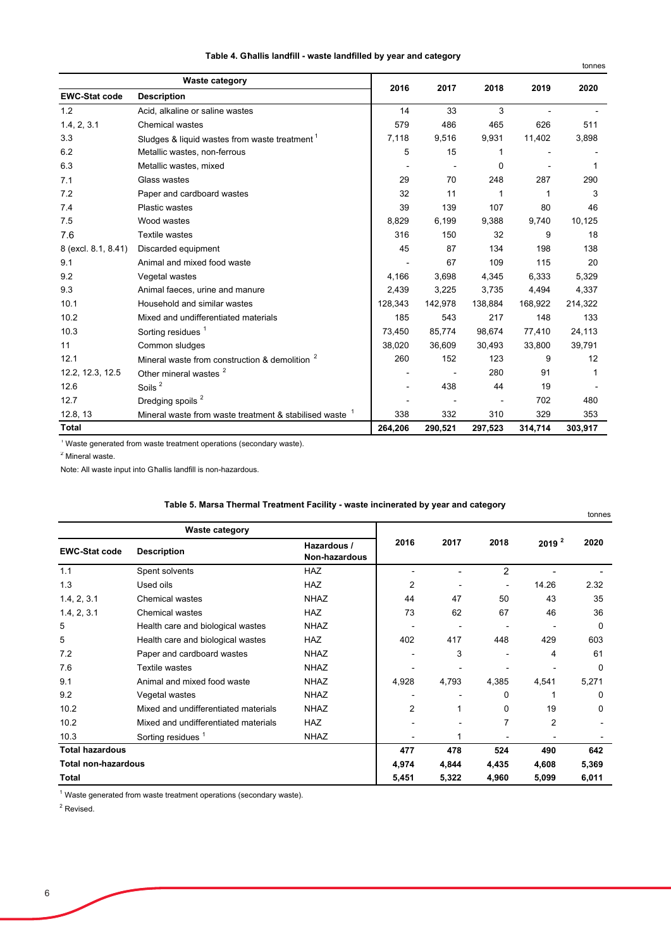| Table 4. Għallis landfill - waste landfilled by year and category |  |  |
|-------------------------------------------------------------------|--|--|
|-------------------------------------------------------------------|--|--|

|                      |                                                           |         |         |         |         | tonnes  |
|----------------------|-----------------------------------------------------------|---------|---------|---------|---------|---------|
|                      | <b>Waste category</b>                                     | 2016    | 2017    | 2018    | 2019    | 2020    |
| <b>EWC-Stat code</b> | <b>Description</b>                                        |         |         |         |         |         |
| 1.2                  | Acid, alkaline or saline wastes                           | 14      | 33      | 3       |         |         |
| 1.4, 2, 3.1          | <b>Chemical wastes</b>                                    | 579     | 486     | 465     | 626     | 511     |
| 3.3                  | Sludges & liquid wastes from waste treatment <sup>1</sup> | 7,118   | 9,516   | 9,931   | 11,402  | 3,898   |
| 6.2                  | Metallic wastes, non-ferrous                              | 5       | 15      | 1       |         |         |
| 6.3                  | Metallic wastes, mixed                                    |         |         | 0       |         |         |
| 7.1                  | Glass wastes                                              | 29      | 70      | 248     | 287     | 290     |
| 7.2                  | Paper and cardboard wastes                                | 32      | 11      | 1       | 1       | 3       |
| 7.4                  | <b>Plastic wastes</b>                                     | 39      | 139     | 107     | 80      | 46      |
| 7.5                  | Wood wastes                                               | 8,829   | 6,199   | 9,388   | 9,740   | 10,125  |
| 7.6                  | <b>Textile wastes</b>                                     | 316     | 150     | 32      | 9       | 18      |
| 8 (excl. 8.1, 8.41)  | Discarded equipment                                       | 45      | 87      | 134     | 198     | 138     |
| 9.1                  | Animal and mixed food waste                               |         | 67      | 109     | 115     | 20      |
| 9.2                  | Vegetal wastes                                            | 4,166   | 3,698   | 4,345   | 6,333   | 5,329   |
| 9.3                  | Animal faeces, urine and manure                           | 2,439   | 3,225   | 3,735   | 4,494   | 4,337   |
| 10.1                 | Household and similar wastes                              | 128,343 | 142,978 | 138,884 | 168,922 | 214,322 |
| 10.2                 | Mixed and undifferentiated materials                      | 185     | 543     | 217     | 148     | 133     |
| 10.3                 | Sorting residues <sup>1</sup>                             | 73.450  | 85.774  | 98.674  | 77,410  | 24,113  |
| 11                   | Common sludges                                            | 38,020  | 36,609  | 30,493  | 33,800  | 39,791  |
| 12.1                 | Mineral waste from construction & demolition <sup>2</sup> | 260     | 152     | 123     | 9       | 12      |
| 12.2, 12.3, 12.5     | Other mineral wastes <sup>2</sup>                         |         |         | 280     | 91      | 1       |
| 12.6                 | Soils <sup>2</sup>                                        |         | 438     | 44      | 19      |         |
| 12.7                 | Dredging spoils <sup>2</sup>                              |         |         |         | 702     | 480     |
| 12.8, 13             | Mineral waste from waste treatment & stabilised waste     | 338     | 332     | 310     | 329     | 353     |
| <b>Total</b>         |                                                           | 264,206 | 290,521 | 297,523 | 314,714 | 303,917 |

 $1$  Waste generated from waste treatment operations (secondary waste).

<sup>2</sup> Mineral waste.

Note: All waste input into Għallis landfill is non-hazardous.

|                            |                                      |                              |       |       |                |                   | tonnes   |
|----------------------------|--------------------------------------|------------------------------|-------|-------|----------------|-------------------|----------|
|                            | <b>Waste category</b>                |                              |       |       |                |                   |          |
| <b>EWC-Stat code</b>       | <b>Description</b>                   | Hazardous /<br>Non-hazardous | 2016  | 2017  | 2018           | 2019 <sup>2</sup> | 2020     |
| 1.1                        | Spent solvents                       | <b>HAZ</b>                   |       |       | $\overline{2}$ |                   |          |
| 1.3                        | Used oils                            | <b>HAZ</b>                   | 2     |       |                | 14.26             | 2.32     |
| 1.4, 2, 3.1                | <b>Chemical wastes</b>               | <b>NHAZ</b>                  | 44    | 47    | 50             | 43                | 35       |
| 1.4, 2, 3.1                | <b>Chemical wastes</b>               | <b>HAZ</b>                   | 73    | 62    | 67             | 46                | 36       |
| 5                          | Health care and biological wastes    | <b>NHAZ</b>                  |       |       |                |                   | 0        |
| 5                          | Health care and biological wastes    | <b>HAZ</b>                   | 402   | 417   | 448            | 429               | 603      |
| 7.2                        | Paper and cardboard wastes           | <b>NHAZ</b>                  |       | 3     |                | 4                 | 61       |
| 7.6                        | Textile wastes                       | <b>NHAZ</b>                  |       |       |                |                   | $\Omega$ |
| 9.1                        | Animal and mixed food waste          | <b>NHAZ</b>                  | 4,928 | 4,793 | 4,385          | 4,541             | 5,271    |
| 9.2                        | Vegetal wastes                       | <b>NHAZ</b>                  |       |       | $\Omega$       |                   | 0        |
| 10.2                       | Mixed and undifferentiated materials | <b>NHAZ</b>                  | 2     | 1     | $\Omega$       | 19                | $\Omega$ |
| 10.2                       | Mixed and undifferentiated materials | <b>HAZ</b>                   |       |       | 7              | $\overline{2}$    |          |
| 10.3                       | Sorting residues <sup>1</sup>        | <b>NHAZ</b>                  |       |       |                |                   |          |
| <b>Total hazardous</b>     |                                      |                              | 477   | 478   | 524            | 490               | 642      |
| <b>Total non-hazardous</b> |                                      |                              | 4,974 | 4,844 | 4,435          | 4,608             | 5,369    |
| <b>Total</b>               |                                      |                              | 5,451 | 5,322 | 4,960          | 5,099             | 6,011    |

## **Table 5. Marsa Thermal Treatment Facility - waste incinerated by year and category**

 $^{\text{\tiny{\textsf{1}}}}$  Waste generated from waste treatment operations (secondary waste).

<sup>2</sup> Revised.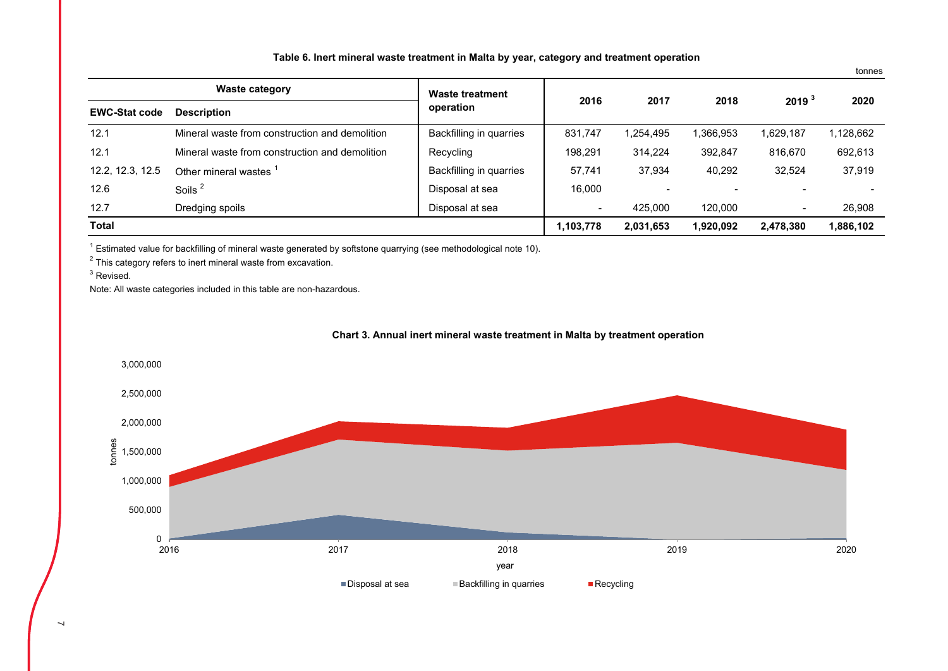| Table 6. Inert mineral waste treatment in Malta by year, category and treatment operation |  |  |  |
|-------------------------------------------------------------------------------------------|--|--|--|
|-------------------------------------------------------------------------------------------|--|--|--|

tonnes

|                      | <b>Waste category</b>                          | Waste treatment         |                |           |           |                          |           |  |
|----------------------|------------------------------------------------|-------------------------|----------------|-----------|-----------|--------------------------|-----------|--|
| <b>EWC-Stat code</b> | <b>Description</b>                             | operation               | 2016           | 2017      | 2018      | 2019 <sup>3</sup>        | 2020      |  |
| 12.1                 | Mineral waste from construction and demolition | Backfilling in quarries | 831.747        | 1.254.495 | 1,366,953 | 1.629.187                | 1,128,662 |  |
| 12.1                 | Mineral waste from construction and demolition | Recycling               | 198.291        | 314.224   | 392.847   | 816,670                  | 692,613   |  |
| 12.2, 12.3, 12.5     | Other mineral wastes 1                         | Backfilling in quarries | 57.741         | 37.934    | 40.292    | 32.524                   | 37.919    |  |
| 12.6                 | Soils <sup>2</sup>                             | Disposal at sea         | 16.000         |           |           |                          |           |  |
| 12.7                 | Dredging spoils                                | Disposal at sea         | $\blacksquare$ | 425.000   | 120,000   | $\overline{\phantom{a}}$ | 26,908    |  |
| <b>Total</b>         |                                                |                         | 1,103,778      | 2,031,653 | 1,920,092 | 2,478,380                | 1,886,102 |  |

 $1$  Estimated value for backfilling of mineral waste generated by softstone quarrying (see methodological note 10).

 $2$  This category refers to inert mineral waste from excavation.

 $3$  Revised.

Note: All waste categories included in this table are non-hazardous.



### **Chart 3. Annual inert mineral waste treatment in Malta by treatment operation**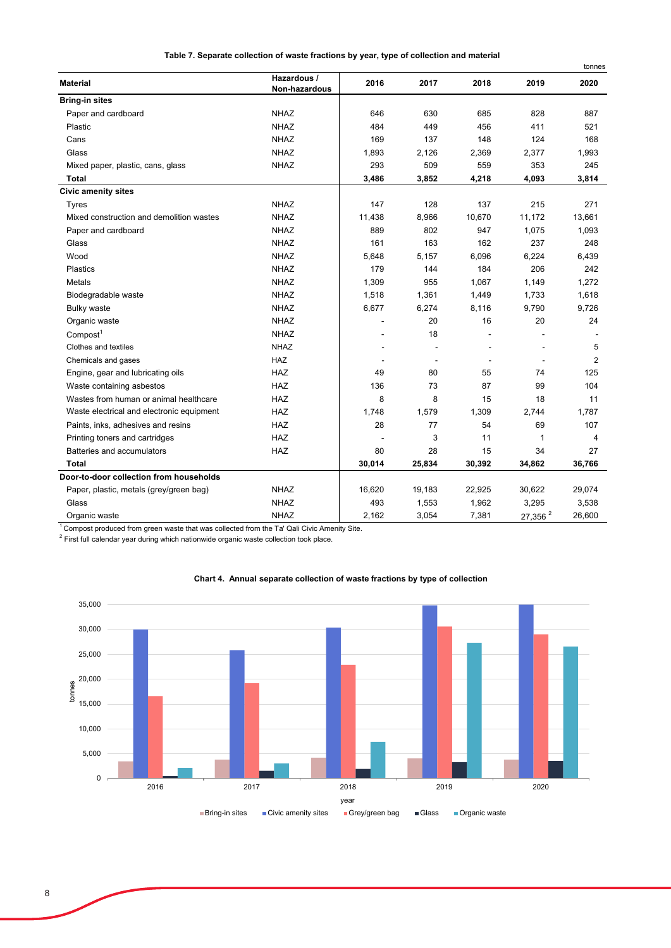**Table 7. Separate collection of waste fractions by year, type of collection and material** 

|                                           |                              |        |                          |                          |            | tonnes         |
|-------------------------------------------|------------------------------|--------|--------------------------|--------------------------|------------|----------------|
| <b>Material</b>                           | Hazardous /<br>Non-hazardous | 2016   | 2017                     | 2018                     | 2019       | 2020           |
| <b>Bring-in sites</b>                     |                              |        |                          |                          |            |                |
| Paper and cardboard                       | <b>NHAZ</b>                  | 646    | 630                      | 685                      | 828        | 887            |
| Plastic                                   | <b>NHAZ</b>                  | 484    | 449                      | 456                      | 411        | 521            |
| Cans                                      | <b>NHAZ</b>                  | 169    | 137                      | 148                      | 124        | 168            |
| Glass                                     | <b>NHAZ</b>                  | 1,893  | 2,126                    | 2,369                    | 2,377      | 1,993          |
| Mixed paper, plastic, cans, glass         | <b>NHAZ</b>                  | 293    | 509                      | 559                      | 353        | 245            |
| <b>Total</b>                              |                              | 3,486  | 3,852                    | 4,218                    | 4,093      | 3,814          |
| <b>Civic amenity sites</b>                |                              |        |                          |                          |            |                |
| <b>Tyres</b>                              | <b>NHAZ</b>                  | 147    | 128                      | 137                      | 215        | 271            |
| Mixed construction and demolition wastes  | <b>NHAZ</b>                  | 11,438 | 8,966                    | 10,670                   | 11,172     | 13,661         |
| Paper and cardboard                       | <b>NHAZ</b>                  | 889    | 802                      | 947                      | 1,075      | 1,093          |
| Glass                                     | <b>NHAZ</b>                  | 161    | 163                      | 162                      | 237        | 248            |
| Wood                                      | <b>NHAZ</b>                  | 5,648  | 5,157                    | 6,096                    | 6,224      | 6,439          |
| Plastics                                  | <b>NHAZ</b>                  | 179    | 144                      | 184                      | 206        | 242            |
| <b>Metals</b>                             | <b>NHAZ</b>                  | 1,309  | 955                      | 1,067                    | 1,149      | 1,272          |
| Biodegradable waste                       | <b>NHAZ</b>                  | 1,518  | 1,361                    | 1,449                    | 1,733      | 1,618          |
| <b>Bulky waste</b>                        | <b>NHAZ</b>                  | 6,677  | 6,274                    | 8,116                    | 9,790      | 9,726          |
| Organic waste                             | <b>NHAZ</b>                  |        | 20                       | 16                       | 20         | 24             |
| Compost <sup>1</sup>                      | <b>NHAZ</b>                  |        | 18                       |                          |            |                |
| Clothes and textiles                      | <b>NHAZ</b>                  |        |                          |                          |            | 5              |
| Chemicals and gases                       | <b>HAZ</b>                   |        | $\overline{\phantom{a}}$ | $\overline{\phantom{a}}$ |            | $\overline{2}$ |
| Engine, gear and lubricating oils         | <b>HAZ</b>                   | 49     | 80                       | 55                       | 74         | 125            |
| Waste containing asbestos                 | <b>HAZ</b>                   | 136    | 73                       | 87                       | 99         | 104            |
| Wastes from human or animal healthcare    | <b>HAZ</b>                   | 8      | 8                        | 15                       | 18         | 11             |
| Waste electrical and electronic equipment | HAZ                          | 1,748  | 1,579                    | 1,309                    | 2,744      | 1,787          |
| Paints, inks, adhesives and resins        | <b>HAZ</b>                   | 28     | 77                       | 54                       | 69         | 107            |
| Printing toners and cartridges            | <b>HAZ</b>                   |        | 3                        | 11                       | 1          | 4              |
| Batteries and accumulators                | HAZ                          | 80     | 28                       | 15                       | 34         | 27             |
| <b>Total</b>                              |                              | 30,014 | 25,834                   | 30,392                   | 34,862     | 36,766         |
| Door-to-door collection from households   |                              |        |                          |                          |            |                |
| Paper, plastic, metals (grey/green bag)   | <b>NHAZ</b>                  | 16,620 | 19,183                   | 22,925                   | 30,622     | 29,074         |
| Glass                                     | <b>NHAZ</b>                  | 493    | 1,553                    | 1,962                    | 3,295      | 3,538          |
| Organic waste                             | <b>NHAZ</b>                  | 2,162  | 3,054                    | 7,381                    | 27,356 $2$ | 26,600         |

<sup>1</sup> Compost produced from green waste that was collected from the Ta' Qali Civic Amenity Site.

 $2$  First full calendar year during which nationwide organic waste collection took place.



#### **Chart 4. Annual separate collection of waste fractions by type of collection**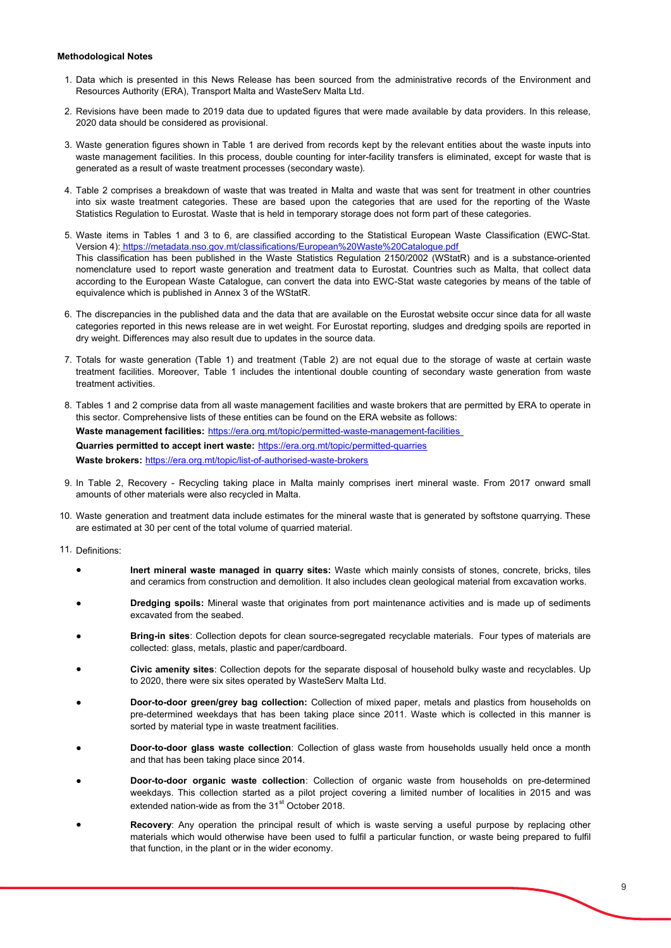#### **Methodological Notes**

- 1. Data which is presented in this News Release has been sourced from the administrative records of the Environment and Resources Authority (ERA), Transport Malta and WasteServ Malta Ltd.
- 2. Revisions have been made to 2019 data due to updated figures that were made available by data providers. In this release, 2020 data should be considered as provisional.
- 3. Waste generation figures shown in Table 1 are derived from records kept by the relevant entities about the waste inputs into waste management facilities. In this process, double counting for inter-facility transfers is eliminated, except for waste that is generated as a result of waste treatment processes (secondary waste).
- 4. Table 2 comprises a breakdown of waste that was treated in Malta and waste that was sent for treatment in other countries into six waste treatment categories. These are based upon the categories that are used for the reporting of the Waste Statistics Regulation to Eurostat. Waste that is held in temporary storage does not form part of these categories.
- 5. Waste items in Tables 1 and 3 to 6, are classified according to the Statistical European Waste Classification (EWC-Stat. Version 4): https://metadata.nso.gov.mt/classifications/European%20Waste%20Catalogue.pdf This classification has been published in the Waste Statistics Regulation 2150/2002 (WStatR) and is a substance-oriented nomenclature used to report waste generation and treatment data to Eurostat. Countries such as Malta, that collect data according to the European Waste Catalogue, can convert the data into EWC-Stat waste categories by means of the table of equivalence which is published in Annex 3 of the WStatR.
- 6. The discrepancies in the published data and the data that are available on the Eurostat website occur since data for all waste categories reported in this news release are in wet weight. For Eurostat reporting, sludges and dredging spoils are reported in dry weight. Differences may also result due to updates in the source data.
- 7. Totals for waste generation (Table 1) and treatment (Table 2) are not equal due to the storage of waste at certain waste treatment facilities. Moreover, Table 1 includes the intentional double counting of secondary waste generation from waste treatment activities.
- 8. Tables 1 and 2 comprise data from all waste management facilities and waste brokers that are permitted by ERA to operate in this sector. Comprehensive lists of these entities can be found on the ERA website as follows: **Waste management facilities:** https://era.org.mt/topic/permitted-waste-management-facilities **Quarries permitted to accept inert waste:** https://era.org.mt/topic/permitted-quarries **Waste brokers:** https://era.org.mt/topic/list-of-authorised-waste-brokers
- 9. In Table 2, Recovery Recycling taking place in Malta mainly comprises inert mineral waste. From 2017 onward small amounts of other materials were also recycled in Malta.
- 10. Waste generation and treatment data include estimates for the mineral waste that is generated by softstone quarrying. These are estimated at 30 per cent of the total volume of quarried material.
- 11. Definitions:
	- **Inert mineral waste managed in quarry sites:** Waste which mainly consists of stones, concrete, bricks, tiles and ceramics from construction and demolition. It also includes clean geological material from excavation works.
	- **Dredging spoils:** Mineral waste that originates from port maintenance activities and is made up of sediments excavated from the seabed.
	- **Bring-in sites**: Collection depots for clean source-segregated recyclable materials. Four types of materials are collected: glass, metals, plastic and paper/cardboard.
	- **Civic amenity sites**: Collection depots for the separate disposal of household bulky waste and recyclables. Up to 2020, there were six sites operated by WasteServ Malta Ltd.
	- **Door-to-door green/grey bag collection:** Collection of mixed paper, metals and plastics from households on pre-determined weekdays that has been taking place since 2011. Waste which is collected in this manner is sorted by material type in waste treatment facilities.
	- **Door-to-door glass waste collection**: Collection of glass waste from households usually held once a month and that has been taking place since 2014.
	- **Door-to-door organic waste collection**: Collection of organic waste from households on pre-determined weekdays. This collection started as a pilot project covering a limited number of localities in 2015 and was extended nation-wide as from the 31<sup>st</sup> October 2018.
	- **Recovery**: Any operation the principal result of which is waste serving a useful purpose by replacing other materials which would otherwise have been used to fulfil a particular function, or waste being prepared to fulfil that function, in the plant or in the wider economy.